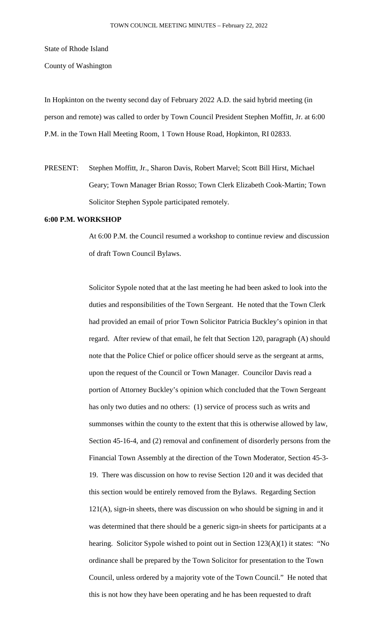State of Rhode Island

County of Washington

In Hopkinton on the twenty second day of February 2022 A.D. the said hybrid meeting (in person and remote) was called to order by Town Council President Stephen Moffitt, Jr. at 6:00 P.M. in the Town Hall Meeting Room, 1 Town House Road, Hopkinton, RI 02833.

PRESENT: Stephen Moffitt, Jr., Sharon Davis, Robert Marvel; Scott Bill Hirst, Michael Geary; Town Manager Brian Rosso; Town Clerk Elizabeth Cook-Martin; Town Solicitor Stephen Sypole participated remotely.

## **6:00 P.M. WORKSHOP**

At 6:00 P.M. the Council resumed a workshop to continue review and discussion of draft Town Council Bylaws.

Solicitor Sypole noted that at the last meeting he had been asked to look into the duties and responsibilities of the Town Sergeant. He noted that the Town Clerk had provided an email of prior Town Solicitor Patricia Buckley's opinion in that regard. After review of that email, he felt that Section 120, paragraph (A) should note that the Police Chief or police officer should serve as the sergeant at arms, upon the request of the Council or Town Manager. Councilor Davis read a portion of Attorney Buckley's opinion which concluded that the Town Sergeant has only two duties and no others: (1) service of process such as writs and summonses within the county to the extent that this is otherwise allowed by law, Section 45-16-4, and (2) removal and confinement of disorderly persons from the Financial Town Assembly at the direction of the Town Moderator, Section 45-3- 19. There was discussion on how to revise Section 120 and it was decided that this section would be entirely removed from the Bylaws. Regarding Section 121(A), sign-in sheets, there was discussion on who should be signing in and it was determined that there should be a generic sign-in sheets for participants at a hearing. Solicitor Sypole wished to point out in Section 123(A)(1) it states: "No ordinance shall be prepared by the Town Solicitor for presentation to the Town Council, unless ordered by a majority vote of the Town Council." He noted that this is not how they have been operating and he has been requested to draft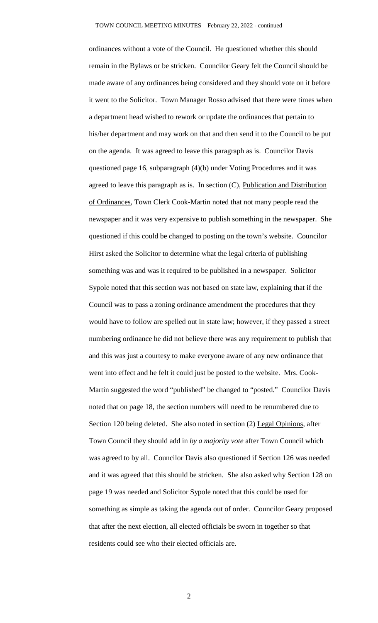ordinances without a vote of the Council. He questioned whether this should remain in the Bylaws or be stricken. Councilor Geary felt the Council should be made aware of any ordinances being considered and they should vote on it before it went to the Solicitor. Town Manager Rosso advised that there were times when a department head wished to rework or update the ordinances that pertain to his/her department and may work on that and then send it to the Council to be put on the agenda. It was agreed to leave this paragraph as is. Councilor Davis questioned page 16, subparagraph (4)(b) under Voting Procedures and it was agreed to leave this paragraph as is. In section  $(C)$ , Publication and Distribution of Ordinances, Town Clerk Cook-Martin noted that not many people read the newspaper and it was very expensive to publish something in the newspaper. She questioned if this could be changed to posting on the town's website. Councilor Hirst asked the Solicitor to determine what the legal criteria of publishing something was and was it required to be published in a newspaper. Solicitor Sypole noted that this section was not based on state law, explaining that if the Council was to pass a zoning ordinance amendment the procedures that they would have to follow are spelled out in state law; however, if they passed a street numbering ordinance he did not believe there was any requirement to publish that and this was just a courtesy to make everyone aware of any new ordinance that went into effect and he felt it could just be posted to the website. Mrs. Cook-Martin suggested the word "published" be changed to "posted." Councilor Davis noted that on page 18, the section numbers will need to be renumbered due to Section 120 being deleted. She also noted in section (2) Legal Opinions, after Town Council they should add in *by a majority vote* after Town Council which was agreed to by all. Councilor Davis also questioned if Section 126 was needed and it was agreed that this should be stricken. She also asked why Section 128 on page 19 was needed and Solicitor Sypole noted that this could be used for something as simple as taking the agenda out of order. Councilor Geary proposed that after the next election, all elected officials be sworn in together so that residents could see who their elected officials are.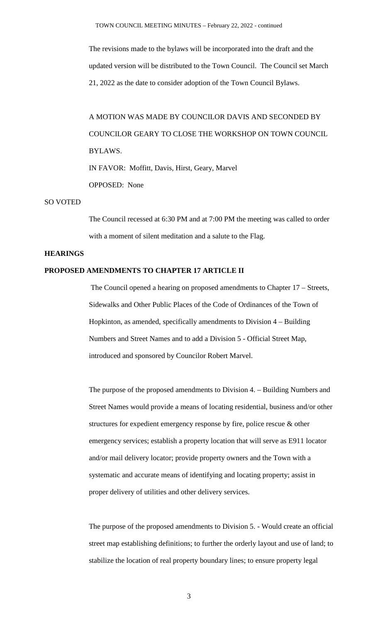The revisions made to the bylaws will be incorporated into the draft and the updated version will be distributed to the Town Council. The Council set March 21, 2022 as the date to consider adoption of the Town Council Bylaws.

A MOTION WAS MADE BY COUNCILOR DAVIS AND SECONDED BY COUNCILOR GEARY TO CLOSE THE WORKSHOP ON TOWN COUNCIL BYLAWS. IN FAVOR: Moffitt, Davis, Hirst, Geary, Marvel OPPOSED: None

## SO VOTED

The Council recessed at 6:30 PM and at 7:00 PM the meeting was called to order with a moment of silent meditation and a salute to the Flag.

## **HEARINGS**

# **PROPOSED AMENDMENTS TO CHAPTER 17 ARTICLE II**

The Council opened a hearing on proposed amendments to Chapter 17 – Streets, Sidewalks and Other Public Places of the Code of Ordinances of the Town of Hopkinton, as amended, specifically amendments to Division 4 – Building Numbers and Street Names and to add a Division 5 - Official Street Map, introduced and sponsored by Councilor Robert Marvel.

The purpose of the proposed amendments to Division 4. – Building Numbers and Street Names would provide a means of locating residential, business and/or other structures for expedient emergency response by fire, police rescue & other emergency services; establish a property location that will serve as E911 locator and/or mail delivery locator; provide property owners and the Town with a systematic and accurate means of identifying and locating property; assist in proper delivery of utilities and other delivery services.

The purpose of the proposed amendments to Division 5. - Would create an official street map establishing definitions; to further the orderly layout and use of land; to stabilize the location of real property boundary lines; to ensure property legal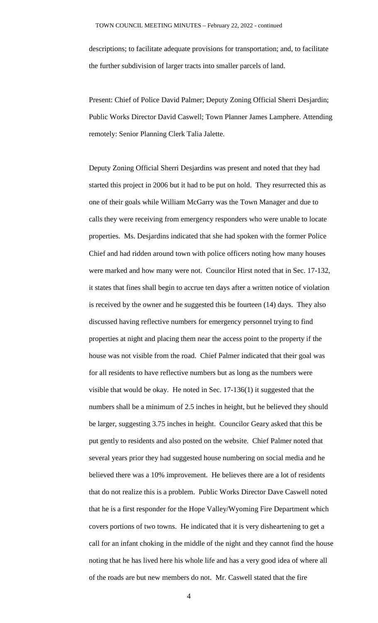descriptions; to facilitate adequate provisions for transportation; and, to facilitate the further subdivision of larger tracts into smaller parcels of land.

Present: Chief of Police David Palmer; Deputy Zoning Official Sherri Desjardin; Public Works Director David Caswell; Town Planner James Lamphere. Attending remotely: Senior Planning Clerk Talia Jalette.

Deputy Zoning Official Sherri Desjardins was present and noted that they had started this project in 2006 but it had to be put on hold. They resurrected this as one of their goals while William McGarry was the Town Manager and due to calls they were receiving from emergency responders who were unable to locate properties. Ms. Desjardins indicated that she had spoken with the former Police Chief and had ridden around town with police officers noting how many houses were marked and how many were not. Councilor Hirst noted that in Sec. 17-132, it states that fines shall begin to accrue ten days after a written notice of violation is received by the owner and he suggested this be fourteen (14) days. They also discussed having reflective numbers for emergency personnel trying to find properties at night and placing them near the access point to the property if the house was not visible from the road. Chief Palmer indicated that their goal was for all residents to have reflective numbers but as long as the numbers were visible that would be okay. He noted in Sec. 17-136(1) it suggested that the numbers shall be a minimum of 2.5 inches in height, but he believed they should be larger, suggesting 3.75 inches in height. Councilor Geary asked that this be put gently to residents and also posted on the website. Chief Palmer noted that several years prior they had suggested house numbering on social media and he believed there was a 10% improvement. He believes there are a lot of residents that do not realize this is a problem. Public Works Director Dave Caswell noted that he is a first responder for the Hope Valley/Wyoming Fire Department which covers portions of two towns. He indicated that it is very disheartening to get a call for an infant choking in the middle of the night and they cannot find the house noting that he has lived here his whole life and has a very good idea of where all of the roads are but new members do not. Mr. Caswell stated that the fire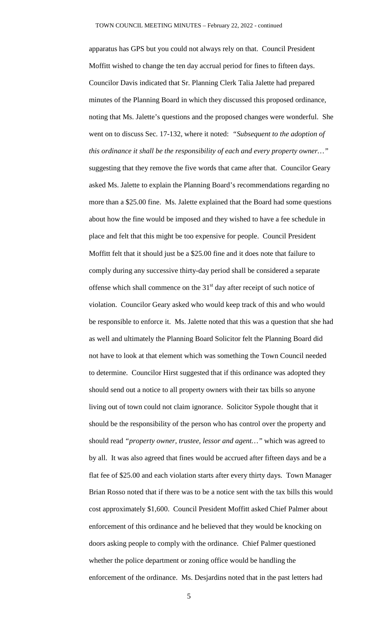apparatus has GPS but you could not always rely on that. Council President Moffitt wished to change the ten day accrual period for fines to fifteen days. Councilor Davis indicated that Sr. Planning Clerk Talia Jalette had prepared minutes of the Planning Board in which they discussed this proposed ordinance, noting that Ms. Jalette's questions and the proposed changes were wonderful. She went on to discuss Sec. 17-132, where it noted: *"Subsequent to the adoption of this ordinance it shall be the responsibility of each and every property owner…"* suggesting that they remove the five words that came after that. Councilor Geary asked Ms. Jalette to explain the Planning Board's recommendations regarding no more than a \$25.00 fine. Ms. Jalette explained that the Board had some questions about how the fine would be imposed and they wished to have a fee schedule in place and felt that this might be too expensive for people. Council President Moffitt felt that it should just be a \$25.00 fine and it does note that failure to comply during any successive thirty-day period shall be considered a separate offense which shall commence on the  $31<sup>st</sup>$  day after receipt of such notice of violation. Councilor Geary asked who would keep track of this and who would be responsible to enforce it. Ms. Jalette noted that this was a question that she had as well and ultimately the Planning Board Solicitor felt the Planning Board did not have to look at that element which was something the Town Council needed to determine. Councilor Hirst suggested that if this ordinance was adopted they should send out a notice to all property owners with their tax bills so anyone living out of town could not claim ignorance. Solicitor Sypole thought that it should be the responsibility of the person who has control over the property and should read *"property owner, trustee, lessor and agent…"* which was agreed to by all. It was also agreed that fines would be accrued after fifteen days and be a flat fee of \$25.00 and each violation starts after every thirty days. Town Manager Brian Rosso noted that if there was to be a notice sent with the tax bills this would cost approximately \$1,600. Council President Moffitt asked Chief Palmer about enforcement of this ordinance and he believed that they would be knocking on doors asking people to comply with the ordinance. Chief Palmer questioned whether the police department or zoning office would be handling the enforcement of the ordinance. Ms. Desjardins noted that in the past letters had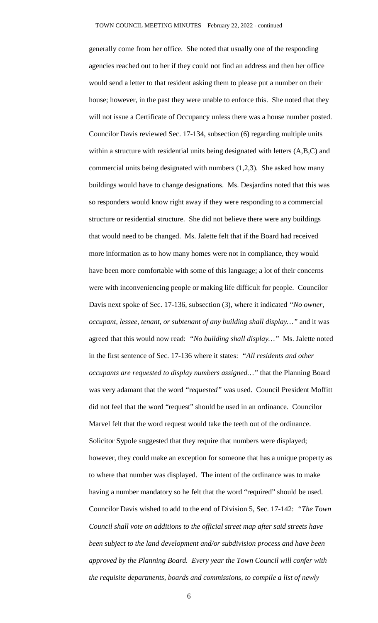generally come from her office. She noted that usually one of the responding agencies reached out to her if they could not find an address and then her office would send a letter to that resident asking them to please put a number on their house; however, in the past they were unable to enforce this. She noted that they will not issue a Certificate of Occupancy unless there was a house number posted. Councilor Davis reviewed Sec. 17-134, subsection (6) regarding multiple units within a structure with residential units being designated with letters (A,B,C) and commercial units being designated with numbers (1,2,3). She asked how many buildings would have to change designations. Ms. Desjardins noted that this was so responders would know right away if they were responding to a commercial structure or residential structure. She did not believe there were any buildings that would need to be changed. Ms. Jalette felt that if the Board had received more information as to how many homes were not in compliance, they would have been more comfortable with some of this language; a lot of their concerns were with inconveniencing people or making life difficult for people. Councilor Davis next spoke of Sec. 17-136, subsection (3), where it indicated *"No owner, occupant, lessee, tenant, or subtenant of any building shall display…"* and it was agreed that this would now read: *"No building shall display…"* Ms. Jalette noted in the first sentence of Sec. 17-136 where it states: *"All residents and other occupants are requested to display numbers assigned…"* that the Planning Board was very adamant that the word *"*r*equested"* was used. Council President Moffitt did not feel that the word "request" should be used in an ordinance. Councilor Marvel felt that the word request would take the teeth out of the ordinance. Solicitor Sypole suggested that they require that numbers were displayed; however, they could make an exception for someone that has a unique property as to where that number was displayed. The intent of the ordinance was to make having a number mandatory so he felt that the word "required" should be used. Councilor Davis wished to add to the end of Division 5, Sec. 17-142: *"The Town Council shall vote on additions to the official street map after said streets have been subject to the land development and/or subdivision process and have been approved by the Planning Board. Every year the Town Council will confer with the requisite departments, boards and commissions, to compile a list of newly*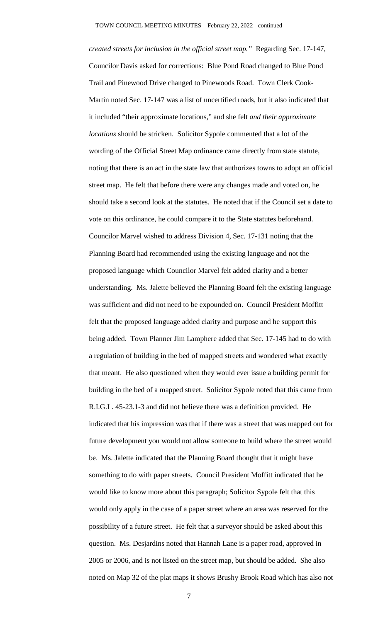*created streets for inclusion in the official street map."* Regarding Sec. 17-147, Councilor Davis asked for corrections: Blue Pond Road changed to Blue Pond Trail and Pinewood Drive changed to Pinewoods Road. Town Clerk Cook-Martin noted Sec. 17-147 was a list of uncertified roads, but it also indicated that it included "their approximate locations," and she felt *and their approximate locations* should be stricken. Solicitor Sypole commented that a lot of the wording of the Official Street Map ordinance came directly from state statute, noting that there is an act in the state law that authorizes towns to adopt an official street map. He felt that before there were any changes made and voted on, he should take a second look at the statutes. He noted that if the Council set a date to vote on this ordinance, he could compare it to the State statutes beforehand. Councilor Marvel wished to address Division 4, Sec. 17-131 noting that the Planning Board had recommended using the existing language and not the proposed language which Councilor Marvel felt added clarity and a better understanding. Ms. Jalette believed the Planning Board felt the existing language was sufficient and did not need to be expounded on. Council President Moffitt felt that the proposed language added clarity and purpose and he support this being added. Town Planner Jim Lamphere added that Sec. 17-145 had to do with a regulation of building in the bed of mapped streets and wondered what exactly that meant. He also questioned when they would ever issue a building permit for building in the bed of a mapped street. Solicitor Sypole noted that this came from R.I.G.L. 45-23.1-3 and did not believe there was a definition provided. He indicated that his impression was that if there was a street that was mapped out for future development you would not allow someone to build where the street would be. Ms. Jalette indicated that the Planning Board thought that it might have something to do with paper streets. Council President Moffitt indicated that he would like to know more about this paragraph; Solicitor Sypole felt that this would only apply in the case of a paper street where an area was reserved for the possibility of a future street. He felt that a surveyor should be asked about this question. Ms. Desjardins noted that Hannah Lane is a paper road, approved in 2005 or 2006, and is not listed on the street map, but should be added. She also noted on Map 32 of the plat maps it shows Brushy Brook Road which has also not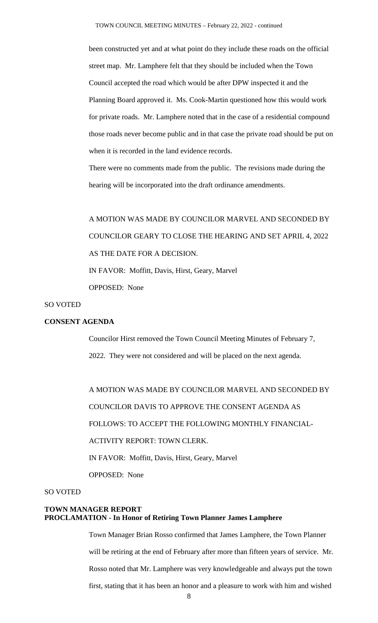been constructed yet and at what point do they include these roads on the official street map. Mr. Lamphere felt that they should be included when the Town Council accepted the road which would be after DPW inspected it and the Planning Board approved it. Ms. Cook-Martin questioned how this would work for private roads. Mr. Lamphere noted that in the case of a residential compound those roads never become public and in that case the private road should be put on when it is recorded in the land evidence records.

There were no comments made from the public. The revisions made during the hearing will be incorporated into the draft ordinance amendments.

A MOTION WAS MADE BY COUNCILOR MARVEL AND SECONDED BY COUNCILOR GEARY TO CLOSE THE HEARING AND SET APRIL 4, 2022 AS THE DATE FOR A DECISION. IN FAVOR: Moffitt, Davis, Hirst, Geary, Marvel OPPOSED: None

## SO VOTED

### **CONSENT AGENDA**

Councilor Hirst removed the Town Council Meeting Minutes of February 7, 2022. They were not considered and will be placed on the next agenda.

A MOTION WAS MADE BY COUNCILOR MARVEL AND SECONDED BY COUNCILOR DAVIS TO APPROVE THE CONSENT AGENDA AS FOLLOWS: TO ACCEPT THE FOLLOWING MONTHLY FINANCIAL-ACTIVITY REPORT: TOWN CLERK. IN FAVOR: Moffitt, Davis, Hirst, Geary, Marvel OPPOSED: None

#### SO VOTED

## **TOWN MANAGER REPORT PROCLAMATION - In Honor of Retiring Town Planner James Lamphere**

Town Manager Brian Rosso confirmed that James Lamphere, the Town Planner will be retiring at the end of February after more than fifteen years of service. Mr. Rosso noted that Mr. Lamphere was very knowledgeable and always put the town first, stating that it has been an honor and a pleasure to work with him and wished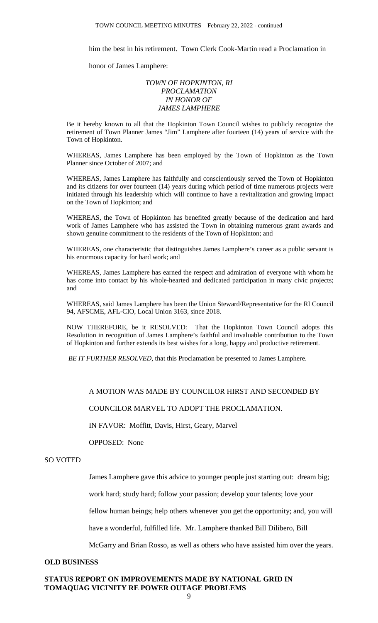him the best in his retirement. Town Clerk Cook-Martin read a Proclamation in

honor of James Lamphere:

## *TOWN OF HOPKINTON, RI PROCLAMATION IN HONOR OF JAMES LAMPHERE*

Be it hereby known to all that the Hopkinton Town Council wishes to publicly recognize the retirement of Town Planner James "Jim" Lamphere after fourteen (14) years of service with the Town of Hopkinton.

WHEREAS, James Lamphere has been employed by the Town of Hopkinton as the Town Planner since October of 2007; and

WHEREAS, James Lamphere has faithfully and conscientiously served the Town of Hopkinton and its citizens for over fourteen (14) years during which period of time numerous projects were initiated through his leadership which will continue to have a revitalization and growing impact on the Town of Hopkinton; and

WHEREAS, the Town of Hopkinton has benefited greatly because of the dedication and hard work of James Lamphere who has assisted the Town in obtaining numerous grant awards and shown genuine commitment to the residents of the Town of Hopkinton; and

WHEREAS, one characteristic that distinguishes James Lamphere's career as a public servant is his enormous capacity for hard work; and

WHEREAS, James Lamphere has earned the respect and admiration of everyone with whom he has come into contact by his whole-hearted and dedicated participation in many civic projects; and

WHEREAS, said James Lamphere has been the Union Steward/Representative for the RI Council 94, AFSCME, AFL-CIO, Local Union 3163, since 2018.

NOW THEREFORE, be it RESOLVED: That the Hopkinton Town Council adopts this Resolution in recognition of James Lamphere's faithful and invaluable contribution to the Town of Hopkinton and further extends its best wishes for a long, happy and productive retirement.

*BE IT FURTHER RESOLVED,* that this Proclamation be presented to James Lamphere.

## A MOTION WAS MADE BY COUNCILOR HIRST AND SECONDED BY

### COUNCILOR MARVEL TO ADOPT THE PROCLAMATION.

IN FAVOR: Moffitt, Davis, Hirst, Geary, Marvel

OPPOSED: None

## SO VOTED

James Lamphere gave this advice to younger people just starting out: dream big;

work hard; study hard; follow your passion; develop your talents; love your

fellow human beings; help others whenever you get the opportunity; and, you will

have a wonderful, fulfilled life. Mr. Lamphere thanked Bill Dilibero, Bill

McGarry and Brian Rosso, as well as others who have assisted him over the years.

#### **OLD BUSINESS**

## **STATUS REPORT ON IMPROVEMENTS MADE BY NATIONAL GRID IN TOMAQUAG VICINITY RE POWER OUTAGE PROBLEMS**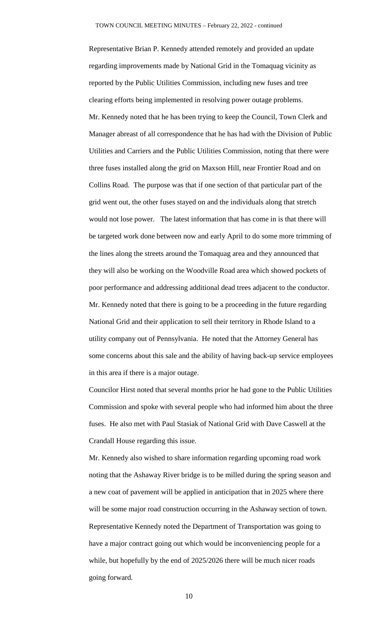Representative Brian P. Kennedy attended remotely and provided an update regarding improvements made by National Grid in the Tomaquag vicinity as reported by the Public Utilities Commission, including new fuses and tree clearing efforts being implemented in resolving power outage problems. Mr. Kennedy noted that he has been trying to keep the Council, Town Clerk and Manager abreast of all correspondence that he has had with the Division of Public Utilities and Carriers and the Public Utilities Commission, noting that there were three fuses installed along the grid on Maxson Hill, near Frontier Road and on Collins Road. The purpose was that if one section of that particular part of the grid went out, the other fuses stayed on and the individuals along that stretch would not lose power. The latest information that has come in is that there will be targeted work done between now and early April to do some more trimming of the lines along the streets around the Tomaquag area and they announced that they will also be working on the Woodville Road area which showed pockets of poor performance and addressing additional dead trees adjacent to the conductor. Mr. Kennedy noted that there is going to be a proceeding in the future regarding National Grid and their application to sell their territory in Rhode Island to a utility company out of Pennsylvania. He noted that the Attorney General has some concerns about this sale and the ability of having back-up service employees in this area if there is a major outage.

Councilor Hirst noted that several months prior he had gone to the Public Utilities Commission and spoke with several people who had informed him about the three fuses. He also met with Paul Stasiak of National Grid with Dave Caswell at the Crandall House regarding this issue.

Mr. Kennedy also wished to share information regarding upcoming road work noting that the Ashaway River bridge is to be milled during the spring season and a new coat of pavement will be applied in anticipation that in 2025 where there will be some major road construction occurring in the Ashaway section of town. Representative Kennedy noted the Department of Transportation was going to have a major contract going out which would be inconveniencing people for a while, but hopefully by the end of 2025/2026 there will be much nicer roads going forward.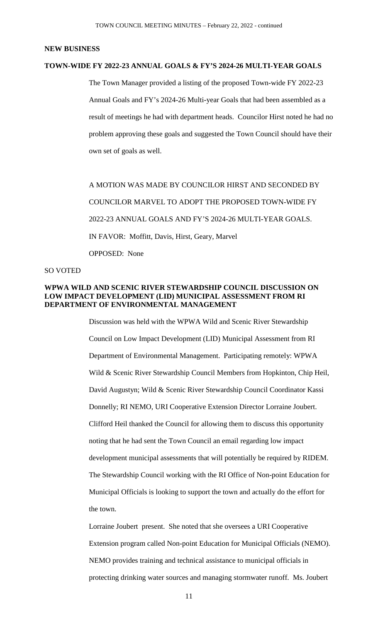### **NEW BUSINESS**

### **TOWN-WIDE FY 2022-23 ANNUAL GOALS & FY'S 2024-26 MULTI-YEAR GOALS**

The Town Manager provided a listing of the proposed Town-wide FY 2022-23 Annual Goals and FY's 2024-26 Multi-year Goals that had been assembled as a result of meetings he had with department heads. Councilor Hirst noted he had no problem approving these goals and suggested the Town Council should have their own set of goals as well.

A MOTION WAS MADE BY COUNCILOR HIRST AND SECONDED BY COUNCILOR MARVEL TO ADOPT THE PROPOSED TOWN-WIDE FY 2022-23 ANNUAL GOALS AND FY'S 2024-26 MULTI-YEAR GOALS. IN FAVOR: Moffitt, Davis, Hirst, Geary, Marvel OPPOSED: None

## SO VOTED

## **WPWA WILD AND SCENIC RIVER STEWARDSHIP COUNCIL DISCUSSION ON LOW IMPACT DEVELOPMENT (LID) MUNICIPAL ASSESSMENT FROM RI DEPARTMENT OF ENVIRONMENTAL MANAGEMENT**

Discussion was held with the WPWA Wild and Scenic River Stewardship Council on Low Impact Development (LID) Municipal Assessment from RI Department of Environmental Management. Participating remotely: WPWA Wild & Scenic River Stewardship Council Members from Hopkinton, Chip Heil, David Augustyn; Wild & Scenic River Stewardship Council Coordinator Kassi Donnelly; RI NEMO, URI Cooperative Extension Director Lorraine Joubert. Clifford Heil thanked the Council for allowing them to discuss this opportunity noting that he had sent the Town Council an email regarding low impact development municipal assessments that will potentially be required by RIDEM. The Stewardship Council working with the RI Office of Non-point Education for Municipal Officials is looking to support the town and actually do the effort for the town.

Lorraine Joubert present. She noted that she oversees a URI Cooperative Extension program called Non-point Education for Municipal Officials (NEMO). NEMO provides training and technical assistance to municipal officials in protecting drinking water sources and managing stormwater runoff. Ms. Joubert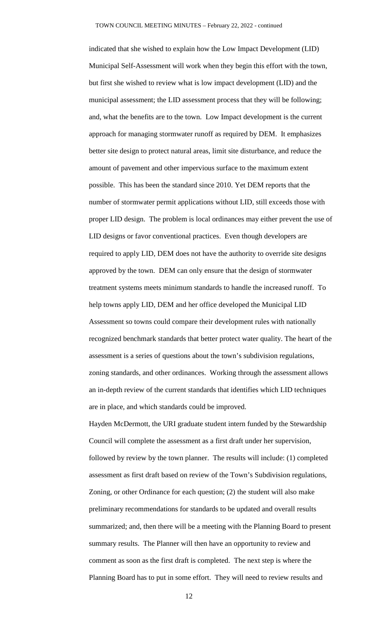indicated that she wished to explain how the Low Impact Development (LID) Municipal Self-Assessment will work when they begin this effort with the town, but first she wished to review what is low impact development (LID) and the municipal assessment; the LID assessment process that they will be following; and, what the benefits are to the town. Low Impact development is the current approach for managing stormwater runoff as required by DEM. It emphasizes better site design to protect natural areas, limit site disturbance, and reduce the amount of pavement and other impervious surface to the maximum extent possible. This has been the standard since 2010. Yet DEM reports that the number of stormwater permit applications without LID, still exceeds those with proper LID design. The problem is local ordinances may either prevent the use of LID designs or favor conventional practices. Even though developers are required to apply LID, DEM does not have the authority to override site designs approved by the town. DEM can only ensure that the design of stormwater treatment systems meets minimum standards to handle the increased runoff. To help towns apply LID, DEM and her office developed the Municipal LID Assessment so towns could compare their development rules with nationally recognized benchmark standards that better protect water quality. The heart of the assessment is a series of questions about the town's subdivision regulations, zoning standards, and other ordinances. Working through the assessment allows an in-depth review of the current standards that identifies which LID techniques are in place, and which standards could be improved.

Hayden McDermott, the URI graduate student intern funded by the Stewardship Council will complete the assessment as a first draft under her supervision, followed by review by the town planner. The results will include: (1) completed assessment as first draft based on review of the Town's Subdivision regulations, Zoning, or other Ordinance for each question; (2) the student will also make preliminary recommendations for standards to be updated and overall results summarized; and, then there will be a meeting with the Planning Board to present summary results. The Planner will then have an opportunity to review and comment as soon as the first draft is completed. The next step is where the Planning Board has to put in some effort. They will need to review results and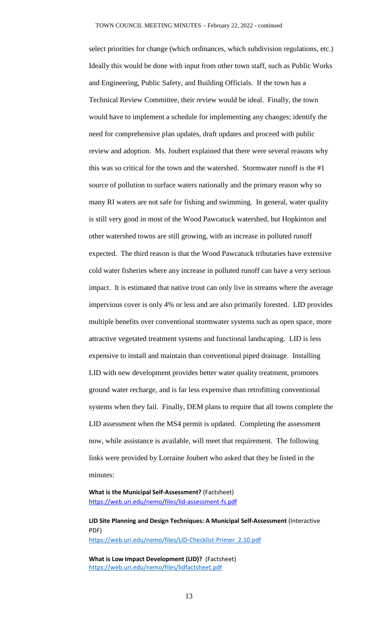select priorities for change (which ordinances, which subdivision regulations, etc.) Ideally this would be done with input from other town staff, such as Public Works and Engineering, Public Safety, and Building Officials. If the town has a Technical Review Committee, their review would be ideal. Finally, the town would have to implement a schedule for implementing any changes; identify the need for comprehensive plan updates, draft updates and proceed with public review and adoption. Ms. Joubert explained that there were several reasons why this was so critical for the town and the watershed. Stormwater runoff is the #1 source of pollution to surface waters nationally and the primary reason why so many RI waters are not safe for fishing and swimming. In general, water quality is still very good in most of the Wood Pawcatuck watershed, but Hopkinton and other watershed towns are still growing, with an increase in polluted runoff expected. The third reason is that the Wood Pawcatuck tributaries have extensive cold water fisheries where any increase in polluted runoff can have a very serious impact. It is estimated that native trout can only live in streams where the average impervious cover is only 4% or less and are also primarily forested. LID provides multiple benefits over conventional stormwater systems such as open space, more attractive vegetated treatment systems and functional landscaping. LID is less expensive to install and maintain than conventional piped drainage. Installing LID with new development provides better water quality treatment, promotes ground water recharge, and is far less expensive than retrofitting conventional systems when they fail. Finally, DEM plans to require that all towns complete the LID assessment when the MS4 permit is updated. Completing the assessment now, while assistance is available, will meet that requirement. The following links were provided by Lorraine Joubert who asked that they be listed in the minutes:

**What is the Municipal Self-Assessment?** (Factsheet) <https://web.uri.edu/nemo/files/lid-assessment-fs.pdf>

**LID Site Planning and Design Techniques: A Municipal Self-Assessment** (Interactive PDF) [https://web.uri.edu/nemo/files/LID-Checklist-Primer\\_2.10.pdf](https://web.uri.edu/nemo/files/LID-Checklist-Primer_2.10.pdf)

**What is Low Impact Development (LID)?** (Factsheet) <https://web.uri.edu/nemo/files/lidfactsheet.pdf>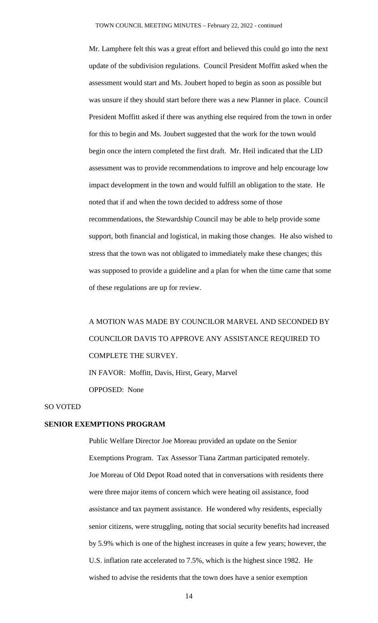Mr. Lamphere felt this was a great effort and believed this could go into the next update of the subdivision regulations. Council President Moffitt asked when the assessment would start and Ms. Joubert hoped to begin as soon as possible but was unsure if they should start before there was a new Planner in place. Council President Moffitt asked if there was anything else required from the town in order for this to begin and Ms. Joubert suggested that the work for the town would begin once the intern completed the first draft. Mr. Heil indicated that the LID assessment was to provide recommendations to improve and help encourage low impact development in the town and would fulfill an obligation to the state. He noted that if and when the town decided to address some of those recommendations, the Stewardship Council may be able to help provide some support, both financial and logistical, in making those changes. He also wished to stress that the town was not obligated to immediately make these changes; this was supposed to provide a guideline and a plan for when the time came that some of these regulations are up for review.

A MOTION WAS MADE BY COUNCILOR MARVEL AND SECONDED BY COUNCILOR DAVIS TO APPROVE ANY ASSISTANCE REQUIRED TO COMPLETE THE SURVEY. IN FAVOR: Moffitt, Davis, Hirst, Geary, Marvel

OPPOSED: None

#### SO VOTED

### **SENIOR EXEMPTIONS PROGRAM**

Public Welfare Director Joe Moreau provided an update on the Senior Exemptions Program. Tax Assessor Tiana Zartman participated remotely. Joe Moreau of Old Depot Road noted that in conversations with residents there were three major items of concern which were heating oil assistance, food assistance and tax payment assistance. He wondered why residents, especially senior citizens, were struggling, noting that social security benefits had increased by 5.9% which is one of the highest increases in quite a few years; however, the U.S. inflation rate accelerated to 7.5%, which is the highest since 1982. He wished to advise the residents that the town does have a senior exemption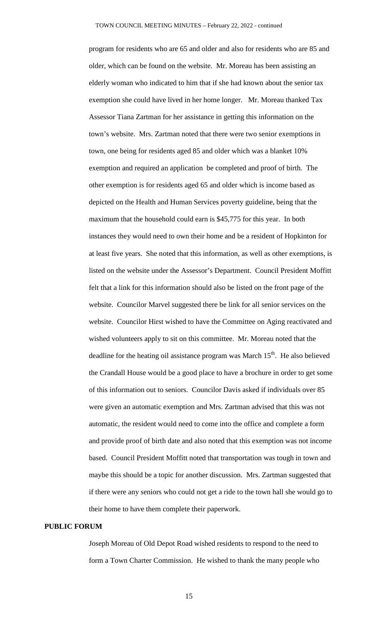program for residents who are 65 and older and also for residents who are 85 and older, which can be found on the website. Mr. Moreau has been assisting an elderly woman who indicated to him that if she had known about the senior tax exemption she could have lived in her home longer. Mr. Moreau thanked Tax Assessor Tiana Zartman for her assistance in getting this information on the town's website. Mrs. Zartman noted that there were two senior exemptions in town, one being for residents aged 85 and older which was a blanket 10% exemption and required an application be completed and proof of birth. The other exemption is for residents aged 65 and older which is income based as depicted on the Health and Human Services poverty guideline, being that the maximum that the household could earn is \$45,775 for this year. In both instances they would need to own their home and be a resident of Hopkinton for at least five years. She noted that this information, as well as other exemptions, is listed on the website under the Assessor's Department. Council President Moffitt felt that a link for this information should also be listed on the front page of the website. Councilor Marvel suggested there be link for all senior services on the website. Councilor Hirst wished to have the Committee on Aging reactivated and wished volunteers apply to sit on this committee. Mr. Moreau noted that the deadline for the heating oil assistance program was March  $15<sup>th</sup>$ . He also believed the Crandall House would be a good place to have a brochure in order to get some of this information out to seniors. Councilor Davis asked if individuals over 85 were given an automatic exemption and Mrs. Zartman advised that this was not automatic, the resident would need to come into the office and complete a form and provide proof of birth date and also noted that this exemption was not income based. Council President Moffitt noted that transportation was tough in town and maybe this should be a topic for another discussion. Mrs. Zartman suggested that if there were any seniors who could not get a ride to the town hall she would go to their home to have them complete their paperwork.

## **PUBLIC FORUM**

Joseph Moreau of Old Depot Road wished residents to respond to the need to form a Town Charter Commission. He wished to thank the many people who